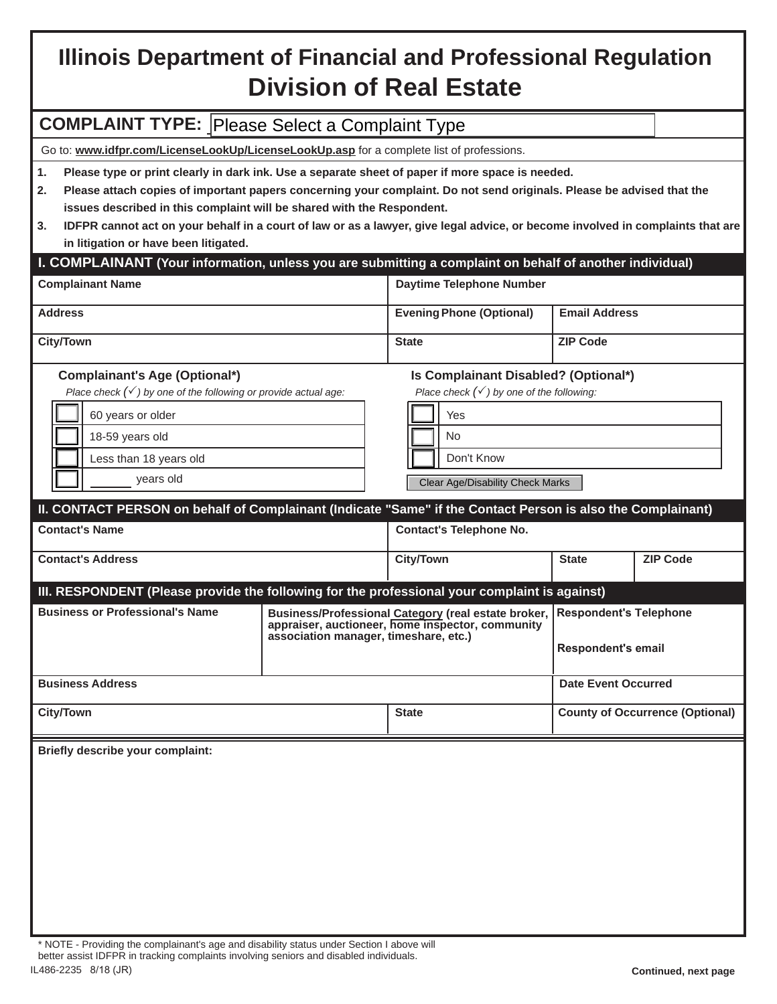# **Illinois Department of Financial and Professional Regulation Division of Real Estate**

# **COMPLAINT TYPE:** Please Select a Complaint Type

Go to: **www.idfpr.com/LicenseLookUp/LicenseLookUp.asp** for a complete list of professions.

**1. Please type or print clearly in dark ink. Use a separate sheet of paper if more space is needed.**

- **2. Please attach copies of important papers concerning your complaint. Do not send originals. Please be advised that the issues described in this complaint will be shared with the Respondent.**
- **3. IDFPR cannot act on your behalf in a court of law or as a lawyer, give legal advice, or become involved in complaints that are in litigation or have been litigated.**

# **I. COMPLAINANT (Your information, unless you are submitting a complaint on behalf of another individual)**

| <b>Complainant Name</b> | Daytime Telephone Number        |                      |
|-------------------------|---------------------------------|----------------------|
| <b>Address</b>          | <b>Evening Phone (Optional)</b> | <b>Email Address</b> |
| <b>City/Town</b>        | <b>State</b>                    | <b>ZIP Code</b>      |

*Place check () by one of the following:* 

#### **Complainant's Age (Optional\*) Is Complainant Disabled? (Optional\*)**

*Place check () by one of the following or provide actual age:* 

|  | 60 years or older      |  | Yes                                     |
|--|------------------------|--|-----------------------------------------|
|  | 18-59 years old        |  | <b>No</b>                               |
|  | Less than 18 years old |  | Don't Know                              |
|  | years old              |  | <b>Clear Age/Disability Check Marks</b> |

# **II. CONTACT PERSON on behalf of Complainant (Indicate "Same" if the Contact Person is also the Complainant)**

| <b>Contact's Name</b>                                                                         |                                                                                                                                                  | <b>Contact's Telephone No.</b> |                                                            |                 |  |  |  |
|-----------------------------------------------------------------------------------------------|--------------------------------------------------------------------------------------------------------------------------------------------------|--------------------------------|------------------------------------------------------------|-----------------|--|--|--|
| <b>Contact's Address</b>                                                                      |                                                                                                                                                  | <b>City/Town</b>               | <b>State</b>                                               | <b>ZIP Code</b> |  |  |  |
| III. RESPONDENT (Please provide the following for the professional your complaint is against) |                                                                                                                                                  |                                |                                                            |                 |  |  |  |
| <b>Business or Professional's Name</b>                                                        | Business/Professional Category (real estate broker,<br>appraiser, auctioneer, home inspector, community<br>association manager, timeshare, etc.) |                                | <b>Respondent's Telephone</b><br><b>Respondent's email</b> |                 |  |  |  |
| <b>Business Address</b>                                                                       |                                                                                                                                                  |                                | Date Event Occurred                                        |                 |  |  |  |
| <b>City/Town</b>                                                                              |                                                                                                                                                  | <b>State</b>                   | <b>County of Occurrence (Optional)</b>                     |                 |  |  |  |

**Briefly describe your complaint:**